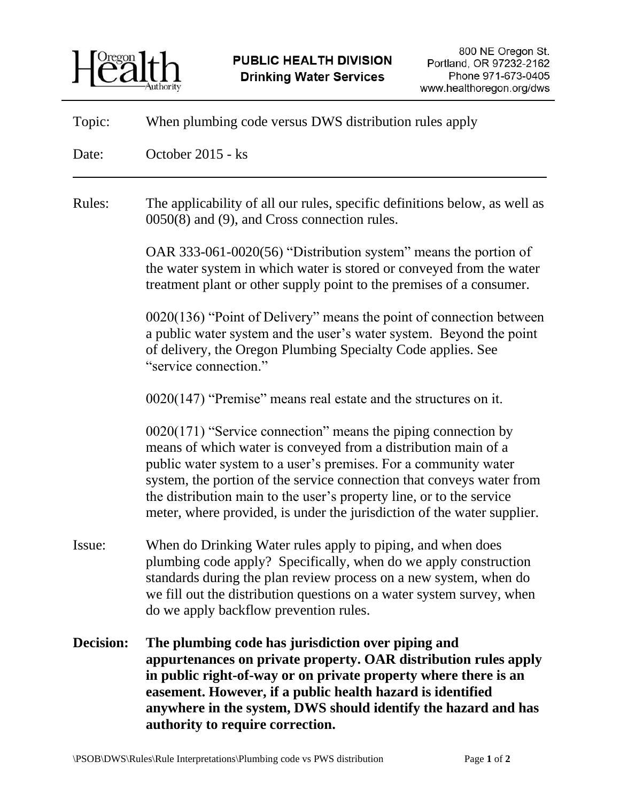

| Topic:    | When plumbing code versus DWS distribution rules apply                                                                                                                                                                                                                                                                                                                                                                           |
|-----------|----------------------------------------------------------------------------------------------------------------------------------------------------------------------------------------------------------------------------------------------------------------------------------------------------------------------------------------------------------------------------------------------------------------------------------|
| Date:     | October 2015 - ks                                                                                                                                                                                                                                                                                                                                                                                                                |
| Rules:    | The applicability of all our rules, specific definitions below, as well as<br>0050(8) and (9), and Cross connection rules.                                                                                                                                                                                                                                                                                                       |
|           | OAR 333-061-0020(56) "Distribution system" means the portion of<br>the water system in which water is stored or conveyed from the water<br>treatment plant or other supply point to the premises of a consumer.                                                                                                                                                                                                                  |
|           | $0020(136)$ "Point of Delivery" means the point of connection between<br>a public water system and the user's water system. Beyond the point<br>of delivery, the Oregon Plumbing Specialty Code applies. See<br>"service connection."                                                                                                                                                                                            |
|           | $0020(147)$ "Premise" means real estate and the structures on it.                                                                                                                                                                                                                                                                                                                                                                |
|           | $0020(171)$ "Service connection" means the piping connection by<br>means of which water is conveyed from a distribution main of a<br>public water system to a user's premises. For a community water<br>system, the portion of the service connection that conveys water from<br>the distribution main to the user's property line, or to the service<br>meter, where provided, is under the jurisdiction of the water supplier. |
| Issue:    | When do Drinking Water rules apply to piping, and when does<br>plumbing code apply? Specifically, when do we apply construction<br>standards during the plan review process on a new system, when do<br>we fill out the distribution questions on a water system survey, when<br>do we apply backflow prevention rules.                                                                                                          |
| Decision: | The plumbing code has jurisdiction over piping and<br>appurtenances on private property. OAR distribution rules apply<br>in public right-of-way or on private property where there is an<br>easement. However, if a public health hazard is identified<br>anywhere in the system, DWS should identify the hazard and has<br>authority to require correction.                                                                     |